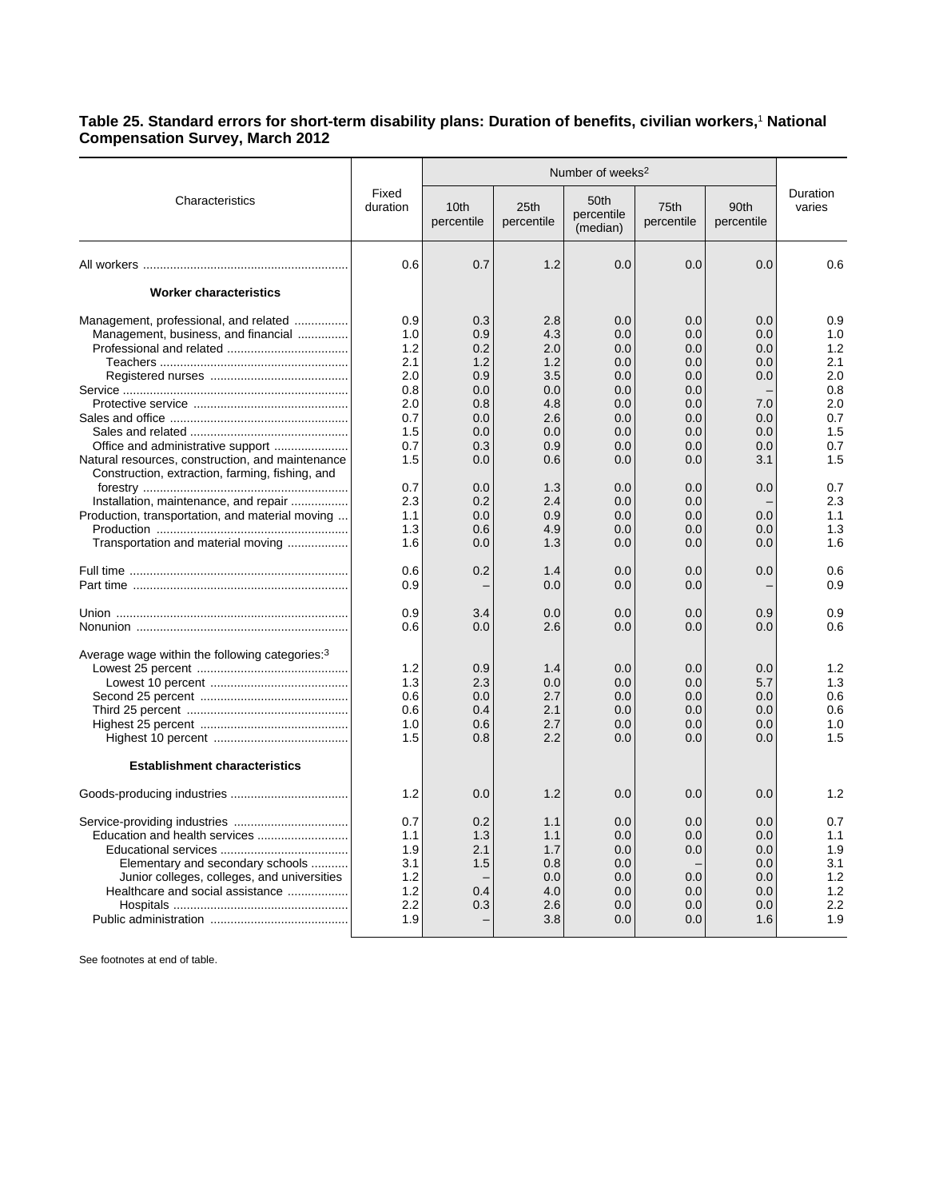## **Table 25. Standard errors for short-term disability plans: Duration of benefits, civilian workers,**1 **National Compensation Survey, March 2012**

| Characteristics                                                                                                                                                                                                                       | Fixed<br>duration                                                         | Number of weeks <sup>2</sup>                                              |                                                                           |                                                                           |                                                                           |                                                                    |                                                                           |
|---------------------------------------------------------------------------------------------------------------------------------------------------------------------------------------------------------------------------------------|---------------------------------------------------------------------------|---------------------------------------------------------------------------|---------------------------------------------------------------------------|---------------------------------------------------------------------------|---------------------------------------------------------------------------|--------------------------------------------------------------------|---------------------------------------------------------------------------|
|                                                                                                                                                                                                                                       |                                                                           | 10th<br>percentile                                                        | 25th<br>percentile                                                        | 50th<br>percentile<br>(median)                                            | 75th<br>percentile                                                        | 90th<br>percentile                                                 | Duration<br>varies                                                        |
|                                                                                                                                                                                                                                       | 0.6                                                                       | 0.7                                                                       | 1.2                                                                       | 0.0                                                                       | 0.0                                                                       | 0.0                                                                | 0.6                                                                       |
| <b>Worker characteristics</b>                                                                                                                                                                                                         |                                                                           |                                                                           |                                                                           |                                                                           |                                                                           |                                                                    |                                                                           |
| Management, professional, and related<br>Management, business, and financial<br>Office and administrative support                                                                                                                     | 0.9<br>1.0<br>1.2<br>2.1<br>2.0<br>0.8<br>2.0<br>0.7<br>1.5<br>0.7<br>1.5 | 0.3<br>0.9<br>0.2<br>1.2<br>0.9<br>0.0<br>0.8<br>0.0<br>0.0<br>0.3<br>0.0 | 2.8<br>4.3<br>2.0<br>1.2<br>3.5<br>0.0<br>4.8<br>2.6<br>0.0<br>0.9<br>0.6 | 0.0<br>0.0<br>0.0<br>0.0<br>0.0<br>0.0<br>0.0<br>0.0<br>0.0<br>0.0<br>0.0 | 0.0<br>0.0<br>0.0<br>0.0<br>0.0<br>0.0<br>0.0<br>0.0<br>0.0<br>0.0<br>0.0 | 0.0<br>0.0<br>0.0<br>0.0<br>0.0<br>7.0<br>0.0<br>0.0<br>0.0<br>3.1 | 0.9<br>1.0<br>1.2<br>2.1<br>2.0<br>0.8<br>2.0<br>0.7<br>1.5<br>0.7<br>1.5 |
| Natural resources, construction, and maintenance<br>Construction, extraction, farming, fishing, and<br>Installation, maintenance, and repair<br>Production, transportation, and material moving<br>Transportation and material moving | 0.7<br>2.3<br>1.1<br>1.3<br>1.6                                           | 0.0<br>0.2<br>0.0<br>0.6<br>0.0                                           | 1.3<br>2.4<br>0.9<br>4.9<br>1.3                                           | 0.0<br>0.0<br>0.0<br>0.0<br>0.0                                           | 0.0<br>0.0<br>0.0<br>0.0<br>0.0                                           | 0.0<br>0.0<br>0.0<br>0.0                                           | 0.7<br>2.3<br>1.1<br>1.3<br>1.6                                           |
|                                                                                                                                                                                                                                       | 0.6<br>0.9                                                                | 0.2                                                                       | 1.4<br>0.0                                                                | 0.0<br>0.0                                                                | 0.0<br>0.0                                                                | 0.0                                                                | 0.6<br>0.9                                                                |
|                                                                                                                                                                                                                                       | 0.9<br>0.6                                                                | 3.4<br>0.0                                                                | 0.0<br>2.6                                                                | 0.0<br>0.0                                                                | 0.0<br>0.0                                                                | 0.9<br>0.0                                                         | 0.9<br>0.6                                                                |
| Average wage within the following categories: <sup>3</sup>                                                                                                                                                                            | 1.2<br>1.3<br>0.6<br>0.6<br>1.0<br>1.5                                    | 0.9<br>2.3<br>0.0<br>0.4<br>0.6<br>0.8                                    | 1.4<br>0.0<br>2.7<br>2.1<br>2.7<br>2.2                                    | 0.0<br>0.0<br>0.0<br>0.0<br>0.0<br>0.0                                    | 0.0<br>0.0<br>0.0<br>0.0<br>0.0<br>0.0                                    | 0.0<br>5.7<br>0.0<br>0.0<br>0.0<br>0.0                             | 1.2<br>1.3<br>0.6<br>0.6<br>1.0<br>1.5                                    |
| <b>Establishment characteristics</b>                                                                                                                                                                                                  |                                                                           |                                                                           |                                                                           |                                                                           |                                                                           |                                                                    |                                                                           |
|                                                                                                                                                                                                                                       | 1.2                                                                       | 0.0                                                                       | 1.2                                                                       | 0.0                                                                       | 0.0                                                                       | 0.0                                                                | 1.2                                                                       |
| Elementary and secondary schools<br>Junior colleges, colleges, and universities<br>Healthcare and social assistance                                                                                                                   | 0.7<br>1.1<br>1.9<br>3.1<br>1.2<br>1.2<br>$2.2\,$<br>1.9                  | 0.2<br>1.3<br>2.1<br>1.5<br>0.4<br>0.3                                    | 1.1<br>1.1<br>1.7<br>0.8<br>0.0<br>4.0<br>2.6<br>3.8                      | 0.0<br>0.0<br>0.0<br>0.0<br>0.0<br>0.0<br>0.0<br>0.0                      | 0.0<br>0.0<br>0.0<br>0.0<br>0.0<br>0.0<br>0.0                             | 0.0<br>0.0<br>0.0<br>0.0<br>0.0<br>0.0<br>0.0<br>1.6               | 0.7<br>1.1<br>1.9<br>3.1<br>1.2<br>1.2<br>2.2<br>1.9                      |

See footnotes at end of table.